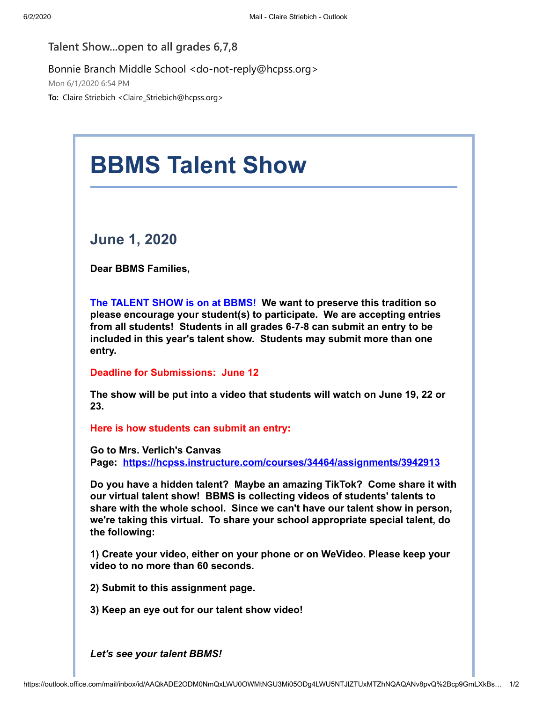## **Talent Show...open to all grades 6,7,8**

## Bonnie Branch Middle School <do-not-reply@hcpss.org>

Mon 6/1/2020 6:54 PM

**To:** Claire Striebich <Claire\_Striebich@hcpss.org>

## **BBMS Talent Show June 1, 2020 Dear BBMS Families, The TALENT SHOW is on at BBMS! We want to preserve this tradition so please encourage your student(s) to participate. We are accepting entries from all students! Students in all grades 6-7-8 can submit an entry to be included in this year's talent show. Students may submit more than one entry. Deadline for Submissions: June 12 The show will be put into a video that students will watch on June 19, 22 or 23. Here is how students can submit an entry: Go to Mrs. Verlich's Canvas**

**Page: [https://hcpss.instructure.com/courses/34464/assignments/3942913](https://nam01.safelinks.protection.outlook.com/?url=http:%2F%2Ftrack.spe.schoolmessenger.com%2Ff%2Fa%2F3aMGITNLSKwaITYdd9ieXg~~%2FAAAAAQA~%2FRgRgtrqVP0Q_aHR0cHM6Ly9oY3Bzcy5pbnN0cnVjdHVyZS5jb20vY291cnNlcy8zNDQ2NC9hc3NpZ25tZW50cy8zOTQyOTEzVwdzY2hvb2xtQgoARhWH1V63NBuEUhpjbGFpcmVfc3RyaWViaWNoQGhjcHNzLm9yZ1gEAAAAAQ~~&data=02%7C01%7Cclaire_striebich%40hcpss.org%7Ccb3af0d0a8444fff9a1c08d8067eb512%7C96a9ac4c477e4dada2b28ad3fc46790b%7C1%7C0%7C637266488583751926&sdata=bGXSMD5Eyv2XL9DUggmvzcD2QKR%2F3HlLZkIn5ekIrAg%3D&reserved=0)**

**Do you have a hidden talent? Maybe an amazing TikTok? Come share it with our virtual talent show! BBMS is collecting videos of students' talents to share with the whole school. Since we can't have our talent show in person, we're taking this virtual. To share your school appropriate special talent, do the following:**

**1) Create your video, either on your phone or on WeVideo. Please keep your video to no more than 60 seconds.**

**2) Submit to this assignment page.**

**3) Keep an eye out for our talent show video!**

*Let's see your talent BBMS!*